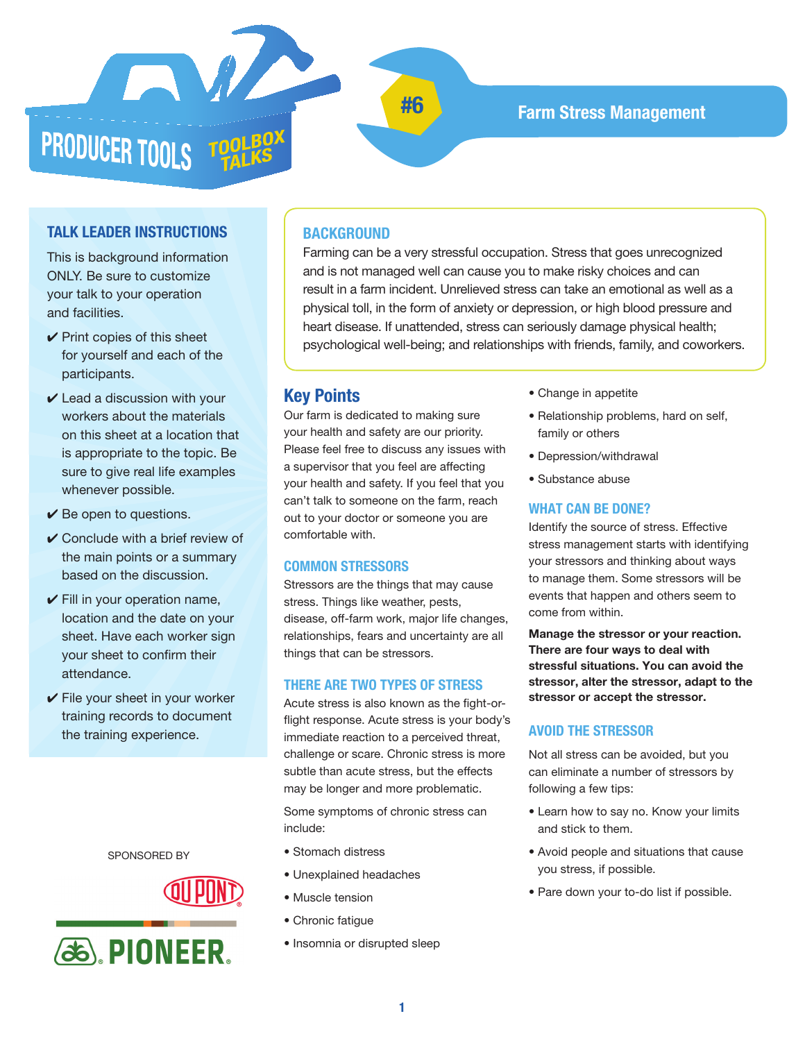

# **#6 Farm Stress Management**

## **TALK LEADER INSTRUCTIONS**

This is background information ONLY. Be sure to customize your talk to your operation and facilities.

- $\vee$  Print copies of this sheet for yourself and each of the participants.
- $\checkmark$  Lead a discussion with your workers about the materials on this sheet at a location that is appropriate to the topic. Be sure to give real life examples whenever possible.
- $\checkmark$  Be open to questions.
- $\vee$  Conclude with a brief review of the main points or a summary based on the discussion.
- $\checkmark$  Fill in your operation name, location and the date on your sheet. Have each worker sign your sheet to confirm their attendance.
- $\checkmark$  File your sheet in your worker training records to document the training experience.

SPONSORED BY





## **BACKGROUND**

Farming can be a very stressful occupation. Stress that goes unrecognized and is not managed well can cause you to make risky choices and can result in a farm incident. Unrelieved stress can take an emotional as well as a physical toll, in the form of anxiety or depression, or high blood pressure and heart disease. If unattended, stress can seriously damage physical health; psychological well-being; and relationships with friends, family, and coworkers.

## **Key Points**

Our farm is dedicated to making sure your health and safety are our priority. Please feel free to discuss any issues with a supervisor that you feel are affecting your health and safety. If you feel that you can't talk to someone on the farm, reach out to your doctor or someone you are comfortable with.

#### **COMMON STRESSORS**

Stressors are the things that may cause stress. Things like weather, pests, disease, off-farm work, major life changes, relationships, fears and uncertainty are all things that can be stressors.

#### **THERE ARE TWO TYPES OF STRESS**

Acute stress is also known as the fight-orflight response. Acute stress is your body's immediate reaction to a perceived threat, challenge or scare. Chronic stress is more subtle than acute stress, but the effects may be longer and more problematic.

Some symptoms of chronic stress can include:

- Stomach distress
- Unexplained headaches
- Muscle tension
- Chronic fatigue
- Insomnia or disrupted sleep
- Change in appetite
- Relationship problems, hard on self, family or others
- Depression/withdrawal
- Substance abuse

#### **WHAT CAN BE DONE?**

Identify the source of stress. Effective stress management starts with identifying your stressors and thinking about ways to manage them. Some stressors will be events that happen and others seem to come from within.

**Manage the stressor or your reaction. There are four ways to deal with stressful situations. You can avoid the stressor, alter the stressor, adapt to the stressor or accept the stressor.**

#### **AVOID THE STRESSOR**

Not all stress can be avoided, but you can eliminate a number of stressors by following a few tips:

- Learn how to say no. Know your limits and stick to them.
- Avoid people and situations that cause you stress, if possible.
- Pare down your to-do list if possible.